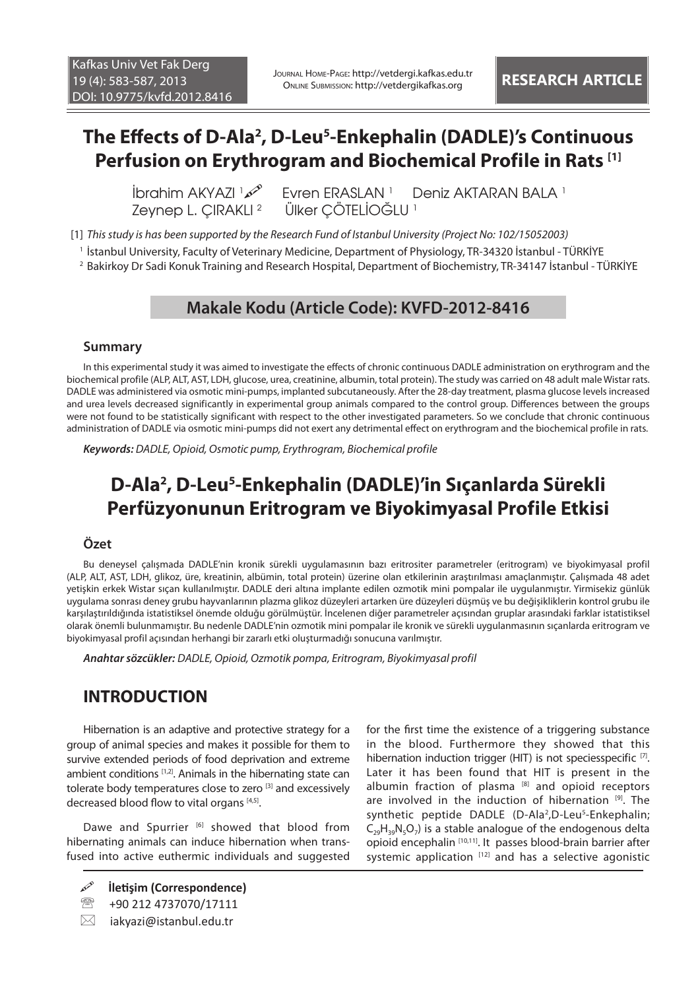# **The Effects of D-Ala2 , D-Leu5 -Enkephalin (DADLE)'s Continuous Perfusion on Erythrogram and Biochemical Profile in Rats [1]**

**İbrahim AKYAZI** 1 Zeynep L. CIRAKLI<sup>2</sup>

Fvren ERASLAN<sup>1</sup> Deniz AKTARAN BALA<sup>1</sup> Ülker ÇÖTELİOĞLU <sup>1</sup>

[1] *This study is has been supported by the Research Fund of Istanbul University (Project No: 102/15052003)*

1 İstanbul University, Faculty of Veterinary Medicine, Department of Physiology, TR-34320 İstanbul - TÜRKİYE

2 Bakirkoy Dr Sadi Konuk Training and Research Hospital, Department of Biochemistry, TR-34147 İstanbul - TÜRKİYE

### **Makale Kodu (Article Code): KVFD-2012-8416**

#### **Summary**

In this experimental study it was aimed to investigate the effects of chronic continuous DADLE administration on erythrogram and the biochemical profile (ALP, ALT, AST, LDH, glucose, urea, creatinine, albumin, total protein). The study was carried on 48 adult male Wistar rats. DADLE was administered via osmotic mini-pumps, implanted subcutaneously. After the 28-day treatment, plasma glucose levels increased and urea levels decreased significantly in experimental group animals compared to the control group. Differences between the groups were not found to be statistically significant with respect to the other investigated parameters. So we conclude that chronic continuous administration of DADLE via osmotic mini-pumps did not exert any detrimental effect on erythrogram and the biochemical profile in rats.

*Keywords: DADLE, Opioid, Osmotic pump, Erythrogram, Biochemical profile*

# **D-Ala2 , D-Leu5 -Enkephalin (DADLE)'in Sıçanlarda Sürekli Perfüzyonunun Eritrogram ve Biyokimyasal Profile Etkisi**

#### **Özet**

Bu deneysel çalışmada DADLE'nin kronik sürekli uygulamasının bazı eritrositer parametreler (eritrogram) ve biyokimyasal profil (ALP, ALT, AST, LDH, glikoz, üre, kreatinin, albümin, total protein) üzerine olan etkilerinin araştırılması amaçlanmıştır. Çalışmada 48 adet yetişkin erkek Wistar sıçan kullanılmıştır. DADLE deri altına implante edilen ozmotik mini pompalar ile uygulanmıştır. Yirmisekiz günlük uygulama sonrası deney grubu hayvanlarının plazma glikoz düzeyleri artarken üre düzeyleri düşmüş ve bu değişikliklerin kontrol grubu ile karşılaştırıldığında istatistiksel önemde olduğu görülmüştür. İncelenen diğer parametreler açısından gruplar arasındaki farklar istatistiksel olarak önemli bulunmamıştır. Bu nedenle DADLE'nin ozmotik mini pompalar ile kronik ve sürekli uygulanmasının sıçanlarda eritrogram ve biyokimyasal profil açısından herhangi bir zararlı etki oluşturmadığı sonucuna varılmıştır.

*Anahtar sözcükler: DADLE, Opioid, Ozmotik pompa, Eritrogram, Biyokimyasal profil*

### **INTRODUCTION**

Hibernation is an adaptive and protective strategy for a group of animal species and makes it possible for them to survive extended periods of food deprivation and extreme ambient conditions [1,2]. Animals in the hibernating state can tolerate body temperatures close to zero [3] and excessively decreased blood flow to vital organs [4,5].

Dawe and Spurrier [6] showed that blood from hibernating animals can induce hibernation when transfused into active euthermic individuals and suggested

for the first time the existence of a triggering substance in the blood. Furthermore they showed that this hibernation induction trigger (HIT) is not speciesspecific [7]. Later it has been found that HIT is present in the albumin fraction of plasma  $[8]$  and opioid receptors are involved in the induction of hibernation [9]. The synthetic peptide DADLE (D-Ala<sup>2</sup>,D-Leu<sup>5</sup>-Enkephalin;  $C_{29}H_{39}N_5O_7$ ) is a stable analogue of the endogenous delta opioid encephalin [10,11]. It passes blood-brain barrier after systemic application  $[12]$  and has a selective agonistic

**İletişim (Correspondence)**

<sup>&</sup>lt;sup>3</sup> +90 212 4737070/17111

 $\boxtimes$  iakyazi@istanbul.edu.tr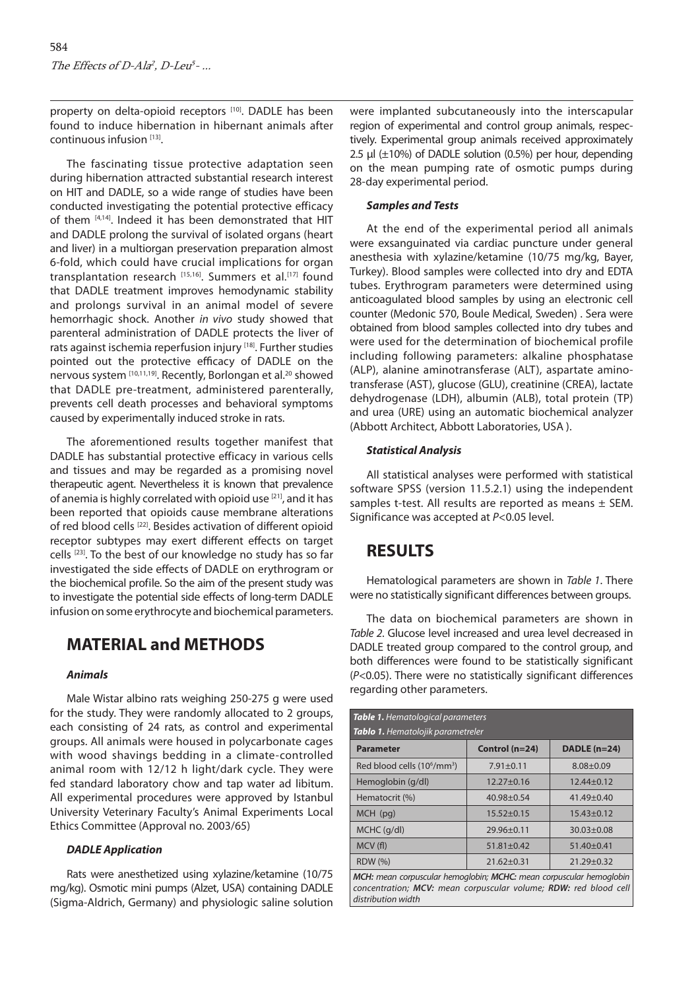property on delta-opioid receptors [10]. DADLE has been found to induce hibernation in hibernant animals after continuous infusion [13].

The fascinating tissue protective adaptation seen during hibernation attracted substantial research interest on HIT and DADLE, so a wide range of studies have been conducted investigating the potential protective efficacy of them [4,14]. Indeed it has been demonstrated that HIT and DADLE prolong the survival of isolated organs (heart and liver) in a multiorgan preservation preparation almost 6-fold, which could have crucial implications for organ transplantation research [15,16]. Summers et al.[17] found that DADLE treatment improves hemodynamic stability and prolongs survival in an animal model of severe hemorrhagic shock. Another *in vivo* study showed that parenteral administration of DADLE protects the liver of rats against ischemia reperfusion injury [18]. Further studies pointed out the protective efficacy of DADLE on the nervous system [10,11,19]. Recently, Borlongan et al.20 showed that DADLE pre-treatment, administered parenterally, prevents cell death processes and behavioral symptoms caused by experimentally induced stroke in rats.

The aforementioned results together manifest that DADLE has substantial protective efficacy in various cells and tissues and may be regarded as a promising novel therapeutic agent. Nevertheless it is known that prevalence of anemia is highly correlated with opioid use [21], and it has been reported that opioids cause membrane alterations of red blood cells <a>[22]</a>. Besides activation of different opioid receptor subtypes may exert different effects on target cells [23]. To the best of our knowledge no study has so far investigated the side effects of DADLE on erythrogram or the biochemical profile. So the aim of the present study was to investigate the potential side effects of long-term DADLE infusion on some erythrocyte and biochemical parameters.

## **MATERIAL and METHODS**

#### *Animals*

Male Wistar albino rats weighing 250-275 g were used for the study. They were randomly allocated to 2 groups, each consisting of 24 rats, as control and experimental groups. All animals were housed in polycarbonate cages with wood shavings bedding in a climate-controlled animal room with 12/12 h light/dark cycle. They were fed standard laboratory chow and tap water ad libitum. All experimental procedures were approved by Istanbul University Veterinary Faculty's Animal Experiments Local Ethics Committee (Approval no. 2003/65)

#### *DADLE Application*

Rats were anesthetized using xylazine/ketamine (10/75 mg/kg). Osmotic mini pumps (Alzet, USA) containing DADLE (Sigma-Aldrich, Germany) and physiologic saline solution were implanted subcutaneously into the interscapular region of experimental and control group animals, respectively. Experimental group animals received approximately 2.5 μl (±10%) of DADLE solution (0.5%) per hour, depending on the mean pumping rate of osmotic pumps during 28-day experimental period.

#### *Samples and Tests*

At the end of the experimental period all animals were exsanguinated via cardiac puncture under general anesthesia with xylazine/ketamine (10/75 mg/kg, Bayer, Turkey). Blood samples were collected into dry and EDTA tubes. Erythrogram parameters were determined using anticoagulated blood samples by using an electronic cell counter (Medonic 570, Boule Medical, Sweden) . Sera were obtained from blood samples collected into dry tubes and were used for the determination of biochemical profile including following parameters: alkaline phosphatase (ALP), alanine aminotransferase (ALT), aspartate aminotransferase (AST), glucose (GLU), creatinine (CREA), lactate dehydrogenase (LDH), albumin (ALB), total protein (TP) and urea (URE) using an automatic biochemical analyzer (Abbott Architect, Abbott Laboratories, USA ).

#### *Statistical Analysis*

All statistical analyses were performed with statistical software SPSS (version 11.5.2.1) using the independent samples t-test. All results are reported as means  $\pm$  SEM. Significance was accepted at *P*<0.05 level.

# **RESULTS**

Hematological parameters are shown in *Table 1*. There were no statistically significant differences between groups.

The data on biochemical parameters are shown in *Table 2*. Glucose level increased and urea level decreased in DADLE treated group compared to the control group, and both differences were found to be statistically significant (*P*<0.05). There were no statistically significant differences regarding other parameters.

| <b>Table 1.</b> Hematological parameters                                                                                                |                  |                  |  |
|-----------------------------------------------------------------------------------------------------------------------------------------|------------------|------------------|--|
| Tablo 1. Hematolojik parametreler                                                                                                       |                  |                  |  |
| <b>Parameter</b>                                                                                                                        | Control (n=24)   | $DADLE(n=24)$    |  |
| Red blood cells (10 <sup>6</sup> /mm <sup>3</sup> )                                                                                     | $7.91 \pm 0.11$  | $8.08 + 0.09$    |  |
| Hemoglobin (g/dl)                                                                                                                       | $12.27 \pm 0.16$ | $12.44 \pm 0.12$ |  |
| Hematocrit (%)                                                                                                                          | $40.98 + 0.54$   | $41.49 + 0.40$   |  |
| $MCH$ (pg)                                                                                                                              | $15.52 \pm 0.15$ | $15.43 \pm 0.12$ |  |
| MCHC (g/dl)                                                                                                                             | 29.96±0.11       | $30.03 + 0.08$   |  |
| MCV(f)                                                                                                                                  | $51.81 \pm 0.42$ | $51.40 \pm 0.41$ |  |
| <b>RDW</b> (%)                                                                                                                          | $21.62 \pm 0.31$ | $21.29 + 0.32$   |  |
| MCH: mean corpuscular hemoglobin; MCHC: mean corpuscular hemoglobin<br>concentration; MCV: mean corpuscular volume; RDW: red blood cell |                  |                  |  |

*distribution width*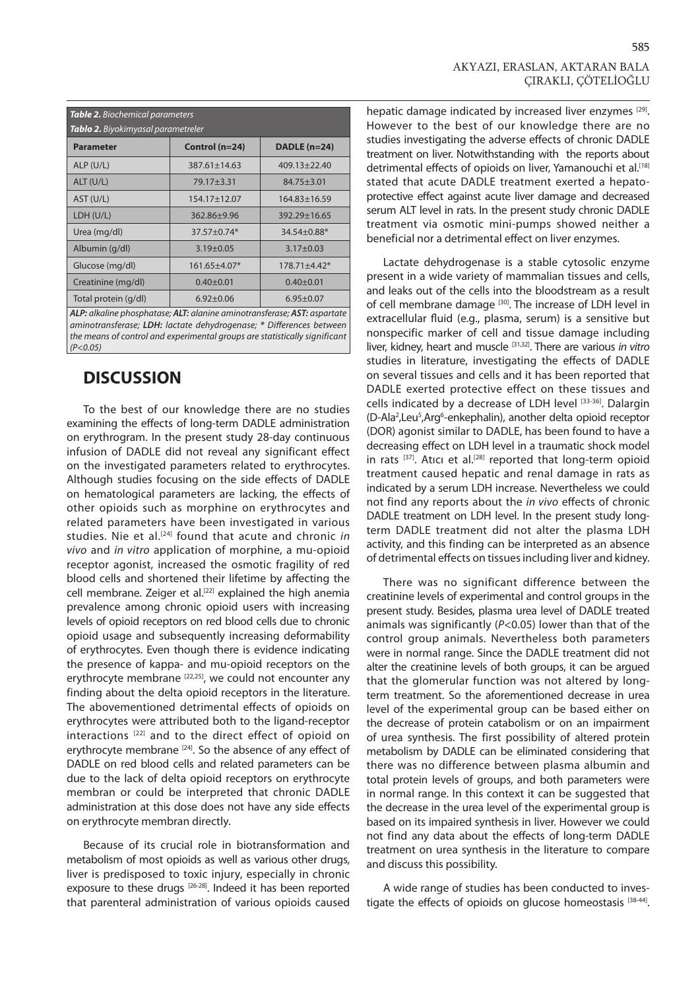| <b>Table 2.</b> Biochemical parameters<br>Tablo 2. Biyokimyasal parametreler |                    |                     |
|------------------------------------------------------------------------------|--------------------|---------------------|
| <b>Parameter</b>                                                             | Control (n=24)     | <b>DADLE</b> (n=24) |
| ALP(U/L)                                                                     | $387.61 \pm 14.63$ | 409.13±22.40        |
| ALT (U/L)                                                                    | 79.17±3.31         | $84.75 \pm 3.01$    |
| AST (U/L)                                                                    | 154.17±12.07       | $164.83 \pm 16.59$  |
| LDH (U/L)                                                                    | $362.86 \pm 9.96$  | $392.29 \pm 16.65$  |
| Urea (mg/dl)                                                                 | $37.57 + 0.74*$    | 34.54±0.88*         |
| Albumin (g/dl)                                                               | $3.19 \pm 0.05$    | $3.17 \pm 0.03$     |
| Glucose (mg/dl)                                                              | $161.65 \pm 4.07*$ | $178.71 \pm 4.42*$  |
| Creatinine (mg/dl)                                                           | $0.40 + 0.01$      | $0.40 + 0.01$       |
| Total protein (g/dl)                                                         | $6.92 \pm 0.06$    | $6.95 \pm 0.07$     |
| Al P. alkaline phosphatase: ALT: alanine aminotransferase: AST: aspartate    |                    |                     |

*ALP: alkaline phosphatase; ALT: alanine aminotransferase; AST: aspartate aminotransferase; LDH: lactate dehydrogenase; \* Differences between the means of control and experimental groups are statistically significant (P<0.05)*

## **DISCUSSION**

To the best of our knowledge there are no studies examining the effects of long-term DADLE administration on erythrogram. In the present study 28-day continuous infusion of DADLE did not reveal any significant effect on the investigated parameters related to erythrocytes. Although studies focusing on the side effects of DADLE on hematological parameters are lacking, the effects of other opioids such as morphine on erythrocytes and related parameters have been investigated in various studies. Nie et al.<sup>[24]</sup> found that acute and chronic *in vivo* and *in vitro* application of morphine, a mu-opioid receptor agonist, increased the osmotic fragility of red blood cells and shortened their lifetime by affecting the cell membrane. Zeiger et al.<sup>[22]</sup> explained the high anemia prevalence among chronic opioid users with increasing levels of opioid receptors on red blood cells due to chronic opioid usage and subsequently increasing deformability of erythrocytes. Even though there is evidence indicating the presence of kappa- and mu-opioid receptors on the erythrocyte membrane [22,25], we could not encounter any finding about the delta opioid receptors in the literature. The abovementioned detrimental effects of opioids on erythrocytes were attributed both to the ligand-receptor interactions [22] and to the direct effect of opioid on erythrocyte membrane [24]. So the absence of any effect of DADLE on red blood cells and related parameters can be due to the lack of delta opioid receptors on erythrocyte membran or could be interpreted that chronic DADLE administration at this dose does not have any side effects on erythrocyte membran directly.

Because of its crucial role in biotransformation and metabolism of most opioids as well as various other drugs, liver is predisposed to toxic injury, especially in chronic exposure to these drugs [26-28]. Indeed it has been reported that parenteral administration of various opioids caused hepatic damage indicated by increased liver enzymes [29]. However to the best of our knowledge there are no studies investigating the adverse effects of chronic DADLE treatment on liver. Notwithstanding with the reports about detrimental effects of opioids on liver, Yamanouchi et al.<sup>[18]</sup> stated that acute DADLE treatment exerted a hepatoprotective effect against acute liver damage and decreased serum ALT level in rats. In the present study chronic DADLE treatment via osmotic mini-pumps showed neither a beneficial nor a detrimental effect on liver enzymes.

Lactate dehydrogenase is a stable cytosolic enzyme present in a wide variety of mammalian tissues and cells, and leaks out of the cells into the bloodstream as a result of cell membrane damage [30]. The increase of LDH level in extracellular fluid (e.g., plasma, serum) is a sensitive but nonspecific marker of cell and tissue damage including liver, kidney, heart and muscle [31,32]. There are various *in vitro* studies in literature, investigating the effects of DADLE on several tissues and cells and it has been reported that DADLE exerted protective effect on these tissues and cells indicated by a decrease of LDH level [33-36]. Dalargin (D-Ala<sup>2</sup>, Leu<sup>5</sup>, Arg<sup>6</sup>-enkephalin), another delta opioid receptor (DOR) agonist similar to DADLE, has been found to have a decreasing effect on LDH level in a traumatic shock model in rats  $[37]$ . Atıcı et al.<sup>[28]</sup> reported that long-term opioid treatment caused hepatic and renal damage in rats as indicated by a serum LDH increase. Nevertheless we could not find any reports about the *in vivo* effects of chronic DADLE treatment on LDH level. In the present study longterm DADLE treatment did not alter the plasma LDH activity, and this finding can be interpreted as an absence of detrimental effects on tissues including liver and kidney.

There was no significant difference between the creatinine levels of experimental and control groups in the present study. Besides, plasma urea level of DADLE treated animals was significantly (*P*<0.05) lower than that of the control group animals. Nevertheless both parameters were in normal range. Since the DADLE treatment did not alter the creatinine levels of both groups, it can be argued that the glomerular function was not altered by longterm treatment. So the aforementioned decrease in urea level of the experimental group can be based either on the decrease of protein catabolism or on an impairment of urea synthesis. The first possibility of altered protein metabolism by DADLE can be eliminated considering that there was no difference between plasma albumin and total protein levels of groups, and both parameters were in normal range. In this context it can be suggested that the decrease in the urea level of the experimental group is based on its impaired synthesis in liver. However we could not find any data about the effects of long-term DADLE treatment on urea synthesis in the literature to compare and discuss this possibility.

A wide range of studies has been conducted to investigate the effects of opioids on glucose homeostasis [38-44].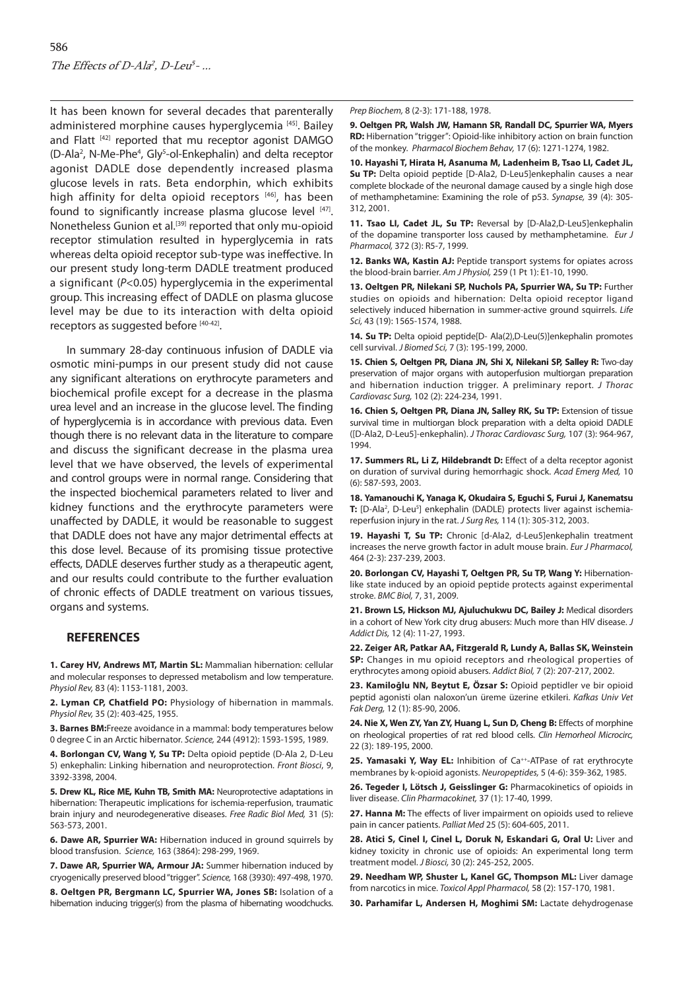It has been known for several decades that parenterally administered morphine causes hyperglycemia<sup>[45]</sup>. Bailey and Flatt [42] reported that mu receptor agonist DAMGO (D-Ala<sup>2</sup>, N-Me-Phe<sup>4</sup>, Gly<sup>5</sup>-ol-Enkephalin) and delta receptor agonist DADLE dose dependently increased plasma glucose levels in rats. Beta endorphin, which exhibits high affinity for delta opioid receptors [46], has been found to significantly increase plasma glucose level [47]. Nonetheless Gunion et al.<sup>[39]</sup> reported that only mu-opioid receptor stimulation resulted in hyperglycemia in rats whereas delta opioid receptor sub-type was ineffective. In our present study long-term DADLE treatment produced a significant (*P*<0.05) hyperglycemia in the experimental group. This increasing effect of DADLE on plasma glucose level may be due to its interaction with delta opioid receptors as suggested before [40-42].

In summary 28-day continuous infusion of DADLE via osmotic mini-pumps in our present study did not cause any significant alterations on erythrocyte parameters and biochemical profile except for a decrease in the plasma urea level and an increase in the glucose level. The finding of hyperglycemia is in accordance with previous data. Even though there is no relevant data in the literature to compare and discuss the significant decrease in the plasma urea level that we have observed, the levels of experimental and control groups were in normal range. Considering that the inspected biochemical parameters related to liver and kidney functions and the erythrocyte parameters were unaffected by DADLE, it would be reasonable to suggest that DADLE does not have any major detrimental effects at this dose level. Because of its promising tissue protective effects, DADLE deserves further study as a therapeutic agent, and our results could contribute to the further evaluation of chronic effects of DADLE treatment on various tissues, organs and systems.

#### **REFERENCES**

**1. Carey HV, Andrews MT, Martin SL:** Mammalian hibernation: cellular and molecular responses to depressed metabolism and low temperature. *Physiol Rev,* 83 (4): 1153-1181, 2003.

**2. Lyman CP, Chatfield PO:** Physiology of hibernation in mammals. *Physiol Rev,* 35 (2): 403-425, 1955.

**3. Barnes BM:**Freeze avoidance in a mammal: body temperatures below 0 degree C in an Arctic hibernator. *Science,* 244 (4912): 1593-1595, 1989.

**4. Borlongan CV, Wang Y, Su TP:** Delta opioid peptide (D-Ala 2, D-Leu 5) enkephalin: Linking hibernation and neuroprotection. *Front Biosci*, 9, 3392-3398, 2004.

**5. Drew KL, Rice ME, Kuhn TB, Smith MA:** Neuroprotective adaptations in hibernation: Therapeutic implications for ischemia-reperfusion, traumatic brain injury and neurodegenerative diseases. *Free Radic Biol Med,* 31 (5): 563-573, 2001.

**6. Dawe AR, Spurrier WA:** Hibernation induced in ground squirrels by blood transfusion. *Science,* 163 (3864): 298-299, 1969.

**7. Dawe AR, Spurrier WA, Armour JA:** Summer hibernation induced by cryogenically preserved blood "trigger". *Science,* 168 (3930): 497-498, 1970.

**8. Oeltgen PR, Bergmann LC, Spurrier WA, Jones SB:** Isolation of a hibernation inducing trigger(s) from the plasma of hibernating woodchucks.

*Prep Biochem,* 8 (2-3): 171-188, 1978.

**9. Oeltgen PR, Walsh JW, Hamann SR, Randall DC, Spurrier WA, Myers RD:** Hibernation "trigger": Opioid-like inhibitory action on brain function of the monkey. *Pharmacol Biochem Behav,* 17 (6): 1271-1274, 1982.

**10. Hayashi T, Hirata H, Asanuma M, Ladenheim B, Tsao LI, Cadet JL, Su TP:** Delta opioid peptide [D-Ala2, D-Leu5]enkephalin causes a near complete blockade of the neuronal damage caused by a single high dose of methamphetamine: Examining the role of p53. *Synapse,* 39 (4): 305- 312, 2001.

**11. Tsao LI, Cadet JL, Su TP:** Reversal by [D-Ala2,D-Leu5]enkephalin of the dopamine transporter loss caused by methamphetamine. *Eur J Pharmacol,* 372 (3): R5-7, 1999.

**12. Banks WA, Kastin AJ:** Peptide transport systems for opiates across the blood-brain barrier. *Am J Physiol,* 259 (1 Pt 1): E1-10, 1990.

**13. Oeltgen PR, Nilekani SP, Nuchols PA, Spurrier WA, Su TP:** Further studies on opioids and hibernation: Delta opioid receptor ligand selectively induced hibernation in summer-active ground squirrels. *Life Sci,* 43 (19): 1565-1574, 1988.

**14. Su TP:** Delta opioid peptide[D- Ala(2),D-Leu(5)]enkephalin promotes cell survival. *J Biomed Sci,* 7 (3): 195-199, 2000.

**15. Chien S, Oeltgen PR, Diana JN, Shi X, Nilekani SP, Salley R:** Two-day preservation of major organs with autoperfusion multiorgan preparation and hibernation induction trigger. A preliminary report. *J Thorac Cardiovasc Surg,* 102 (2): 224-234, 1991.

**16. Chien S, Oeltgen PR, Diana JN, Salley RK, Su TP:** Extension of tissue survival time in multiorgan block preparation with a delta opioid DADLE ([D-Ala2, D-Leu5]-enkephalin). *J Thorac Cardiovasc Surg,* 107 (3): 964-967, 1994.

**17. Summers RL, Li Z, Hildebrandt D:** Effect of a delta receptor agonist on duration of survival during hemorrhagic shock. *Acad Emerg Med,* 10 (6): 587-593, 2003.

**18. Yamanouchi K, Yanaga K, Okudaira S, Eguchi S, Furui J, Kanematsu**  T: [D-Ala<sup>2</sup>, D-Leu<sup>5</sup>] enkephalin (DADLE) protects liver against ischemiareperfusion injury in the rat. *J Surg Res,* 114 (1): 305-312, 2003.

**19. Hayashi T, Su TP:** Chronic [d-Ala2, d-Leu5]enkephalin treatment increases the nerve growth factor in adult mouse brain. *Eur J Pharmacol,* 464 (2-3): 237-239, 2003.

**20. Borlongan CV, Hayashi T, Oeltgen PR, Su TP, Wang Y:** Hibernationlike state induced by an opioid peptide protects against experimental stroke. *BMC Biol,* 7, 31, 2009.

**21. Brown LS, Hickson MJ, Ajuluchukwu DC, Bailey J:** Medical disorders in a cohort of New York city drug abusers: Much more than HIV disease. *J Addict Dis,* 12 (4): 11-27, 1993.

**22. Zeiger AR, Patkar AA, Fitzgerald R, Lundy A, Ballas SK, Weinstein SP:** Changes in mu opioid receptors and rheological properties of erythrocytes among opioid abusers. *Addict Biol,* 7 (2): 207-217, 2002.

**23. Kamiloğlu NN, Beytut E, Özsar S:** Opioid peptidler ve bir opioid peptid agonisti olan naloxon'un üreme üzerine etkileri. *Kafkas Univ Vet Fak Derg,* 12 (1): 85-90, 2006.

**24. Nie X, Wen ZY, Yan ZY, Huang L, Sun D, Cheng B:** Effects of morphine on rheological properties of rat red blood cells. *Clin Hemorheol Microcirc,* 22 (3): 189-195, 2000.

25. Yamasaki Y, Way EL: Inhibition of Ca<sup>++</sup>-ATPase of rat erythrocyte membranes by k-opioid agonists. *Neuropeptides,* 5 (4-6): 359-362, 1985.

**26. Tegeder I, Lötsch J, Geisslinger G:** Pharmacokinetics of opioids in liver disease. *Clin Pharmacokinet,* 37 (1): 17-40, 1999.

**27. Hanna M:** The effects of liver impairment on opioids used to relieve pain in cancer patients. *Palliat Med* 25 (5): 604-605, 2011.

**28. Atici S, Cinel I, Cinel L, Doruk N, Eskandari G, Oral U:** Liver and kidney toxicity in chronic use of opioids: An experimental long term treatment model. *J Biosci,* 30 (2): 245-252, 2005.

**29. Needham WP, Shuster L, Kanel GC, Thompson ML:** Liver damage from narcotics in mice. *Toxicol Appl Pharmacol,* 58 (2): 157-170, 1981.

**30. Parhamifar L, Andersen H, Moghimi SM:** Lactate dehydrogenase